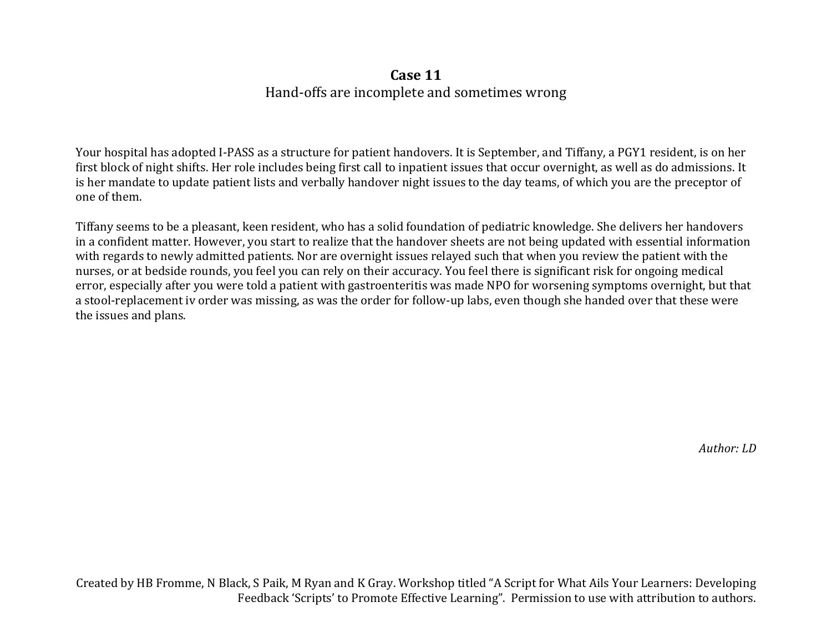## **Case 11**

Hand-offs are incomplete and sometimes wrong

Your hospital has adopted I-PASS as a structure for patient handovers. It is September, and Tiffany, a PGY1 resident, is on her first block of night shifts. Her role includes being first call to inpatient issues that occur overnight, as well as do admissions. It is her mandate to update patient lists and verbally handover night issues to the day teams, of which you are the preceptor of one of them.

Tiffany seems to be a pleasant, keen resident, who has a solid foundation of pediatric knowledge. She delivers her handovers in a confident matter. However, you start to realize that the handover sheets are not being updated with essential information with regards to newly admitted patients. Nor are overnight issues relayed such that when you review the patient with the nurses, or at bedside rounds, you feel you can rely on their accuracy. You feel there is significant risk for ongoing medical error, especially after you were told a patient with gastroenteritis was made NPO for worsening symptoms overnight, but that a stool-replacement iv order was missing, as was the order for follow-up labs, even though she handed over that these were the issues and plans.

*Author: LD*

Created by HB Fromme, N Black, S Paik, M Ryan and K Gray. Workshop titled "A Script for What Ails Your Learners: Developing Feedback 'Scripts' to Promote Effective Learning". Permission to use with attribution to authors.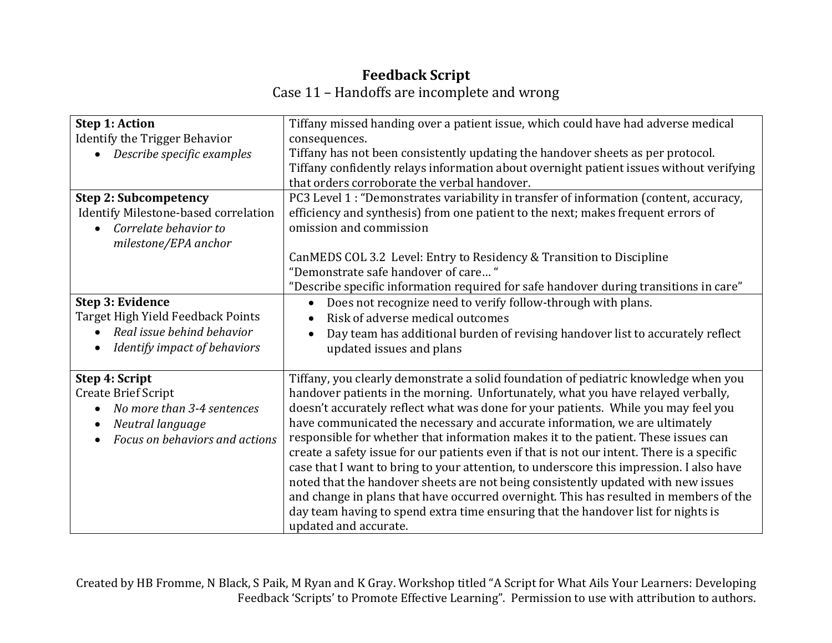## **Feedback Script**

Case 11 – Handoffs are incomplete and wrong

| <b>Step 1: Action</b>                   | Tiffany missed handing over a patient issue, which could have had adverse medical          |
|-----------------------------------------|--------------------------------------------------------------------------------------------|
| <b>Identify the Trigger Behavior</b>    | consequences.                                                                              |
| Describe specific examples              | Tiffany has not been consistently updating the handover sheets as per protocol.            |
|                                         | Tiffany confidently relays information about overnight patient issues without verifying    |
|                                         | that orders corroborate the verbal handover.                                               |
| <b>Step 2: Subcompetency</b>            | PC3 Level 1 : "Demonstrates variability in transfer of information (content, accuracy,     |
| Identify Milestone-based correlation    | efficiency and synthesis) from one patient to the next; makes frequent errors of           |
| Correlate behavior to                   | omission and commission                                                                    |
| milestone/EPA anchor                    |                                                                                            |
|                                         | CanMEDS COL 3.2 Level: Entry to Residency & Transition to Discipline                       |
|                                         | "Demonstrate safe handover of care"                                                        |
|                                         | "Describe specific information required for safe handover during transitions in care"      |
| Step 3: Evidence                        | Does not recognize need to verify follow-through with plans.<br>$\bullet$                  |
| Target High Yield Feedback Points       | Risk of adverse medical outcomes                                                           |
| Real issue behind behavior              | Day team has additional burden of revising handover list to accurately reflect             |
| Identify impact of behaviors            | updated issues and plans                                                                   |
|                                         |                                                                                            |
| Step 4: Script                          | Tiffany, you clearly demonstrate a solid foundation of pediatric knowledge when you        |
| <b>Create Brief Script</b>              | handover patients in the morning. Unfortunately, what you have relayed verbally,           |
| No more than 3-4 sentences<br>$\bullet$ | doesn't accurately reflect what was done for your patients. While you may feel you         |
| Neutral language<br>$\bullet$           | have communicated the necessary and accurate information, we are ultimately                |
| Focus on behaviors and actions          | responsible for whether that information makes it to the patient. These issues can         |
|                                         | create a safety issue for our patients even if that is not our intent. There is a specific |
|                                         | case that I want to bring to your attention, to underscore this impression. I also have    |
|                                         | noted that the handover sheets are not being consistently updated with new issues          |
|                                         | and change in plans that have occurred overnight. This has resulted in members of the      |
|                                         | day team having to spend extra time ensuring that the handover list for nights is          |
|                                         | updated and accurate.                                                                      |

Created by HB Fromme, N Black, S Paik, M Ryan and K Gray. Workshop titled "A Script for What Ails Your Learners: Developing Feedback 'Scripts' to Promote Effective Learning". Permission to use with attribution to authors.